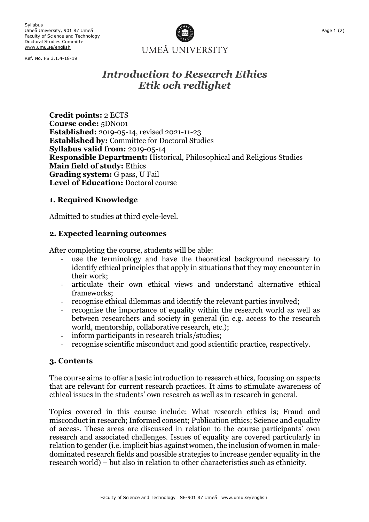Syllabus Umeå University, 901 87 Umeå Faculty of Science and Technology Doctoral Studies Committe www.umu.se/english

Ref. No. FS 3.1.4-18-19



# *Introduction to Research Ethics Etik och redlighet*

**Credit points:** 2 ECTS **Course code:** 5DN001 **Established:** 2019-05-14, revised 2021-11-23 **Established by:** Committee for Doctoral Studies **Syllabus valid from:** 2019-05-14 **Responsible Department:** Historical, Philosophical and Religious Studies **Main field of study:** Ethics **Grading system:** G pass, U Fail **Level of Education:** Doctoral course

## **1. Required Knowledge**

Admitted to studies at third cycle-level.

## **2. Expected learning outcomes**

After completing the course, students will be able:

- use the terminology and have the theoretical background necessary to identify ethical principles that apply in situations that they may encounter in their work;
- articulate their own ethical views and understand alternative ethical frameworks;
- recognise ethical dilemmas and identify the relevant parties involved;
- recognise the importance of equality within the research world as well as between researchers and society in general (in e.g. access to the research world, mentorship, collaborative research, etc.);
- inform participants in research trials/studies;
- recognise scientific misconduct and good scientific practice, respectively.

#### **3. Contents**

The course aims to offer a basic introduction to research ethics, focusing on aspects that are relevant for current research practices. It aims to stimulate awareness of ethical issues in the students' own research as well as in research in general.

Topics covered in this course include: What research ethics is; Fraud and misconduct in research; Informed consent; Publication ethics; Science and equality of access. These areas are discussed in relation to the course participants' own research and associated challenges. Issues of equality are covered particularly in relation to gender (i.e. implicit bias against women, the inclusion of women in maledominated research fields and possible strategies to increase gender equality in the research world) – but also in relation to other characteristics such as ethnicity.